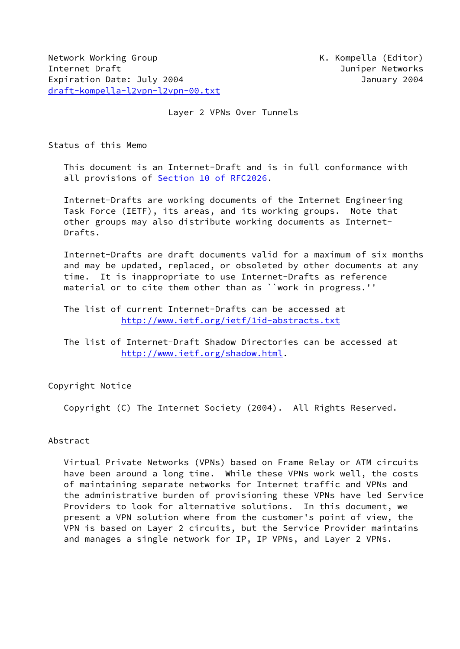Network Working Group **K. Kompella (Editor)** Internet Draft Juniper Networks Expiration Date: July 2004 **January 2004** January 2004 [draft-kompella-l2vpn-l2vpn-00.txt](https://datatracker.ietf.org/doc/pdf/draft-kompella-l2vpn-l2vpn-00.txt)

## Layer 2 VPNs Over Tunnels

Status of this Memo

 This document is an Internet-Draft and is in full conformance with all provisions of Section [10 of RFC2026.](https://datatracker.ietf.org/doc/pdf/rfc2026#section-10)

 Internet-Drafts are working documents of the Internet Engineering Task Force (IETF), its areas, and its working groups. Note that other groups may also distribute working documents as Internet- Drafts.

 Internet-Drafts are draft documents valid for a maximum of six months and may be updated, replaced, or obsoleted by other documents at any time. It is inappropriate to use Internet-Drafts as reference material or to cite them other than as ``work in progress.''

 The list of current Internet-Drafts can be accessed at <http://www.ietf.org/ietf/1id-abstracts.txt>

 The list of Internet-Draft Shadow Directories can be accessed at <http://www.ietf.org/shadow.html>.

Copyright Notice

Copyright (C) The Internet Society (2004). All Rights Reserved.

# Abstract

 Virtual Private Networks (VPNs) based on Frame Relay or ATM circuits have been around a long time. While these VPNs work well, the costs of maintaining separate networks for Internet traffic and VPNs and the administrative burden of provisioning these VPNs have led Service Providers to look for alternative solutions. In this document, we present a VPN solution where from the customer's point of view, the VPN is based on Layer 2 circuits, but the Service Provider maintains and manages a single network for IP, IP VPNs, and Layer 2 VPNs.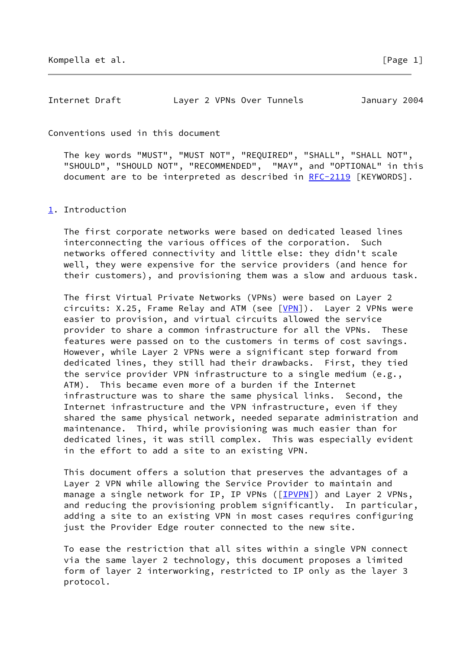Conventions used in this document

 The key words "MUST", "MUST NOT", "REQUIRED", "SHALL", "SHALL NOT", "SHOULD", "SHOULD NOT", "RECOMMENDED", "MAY", and "OPTIONAL" in this document are to be interpreted as described in [RFC-2119](https://datatracker.ietf.org/doc/pdf/rfc2119) [KEYWORDS].

#### <span id="page-1-0"></span>[1](#page-1-0). Introduction

 The first corporate networks were based on dedicated leased lines interconnecting the various offices of the corporation. Such networks offered connectivity and little else: they didn't scale well, they were expensive for the service providers (and hence for their customers), and provisioning them was a slow and arduous task.

 The first Virtual Private Networks (VPNs) were based on Layer 2 circuits:  $X.25$ , Frame Relay and ATM (see  $[VPN]$  $[VPN]$ ). Layer 2 VPNs were easier to provision, and virtual circuits allowed the service provider to share a common infrastructure for all the VPNs. These features were passed on to the customers in terms of cost savings. However, while Layer 2 VPNs were a significant step forward from dedicated lines, they still had their drawbacks. First, they tied the service provider VPN infrastructure to a single medium (e.g., ATM). This became even more of a burden if the Internet infrastructure was to share the same physical links. Second, the Internet infrastructure and the VPN infrastructure, even if they shared the same physical network, needed separate administration and maintenance. Third, while provisioning was much easier than for dedicated lines, it was still complex. This was especially evident in the effort to add a site to an existing VPN.

 This document offers a solution that preserves the advantages of a Layer 2 VPN while allowing the Service Provider to maintain and manage a single network for IP, IP VPNs ([\[IPVPN\]](#page-28-1)) and Layer 2 VPNs, and reducing the provisioning problem significantly. In particular, adding a site to an existing VPN in most cases requires configuring just the Provider Edge router connected to the new site.

 To ease the restriction that all sites within a single VPN connect via the same layer 2 technology, this document proposes a limited form of layer 2 interworking, restricted to IP only as the layer 3 protocol.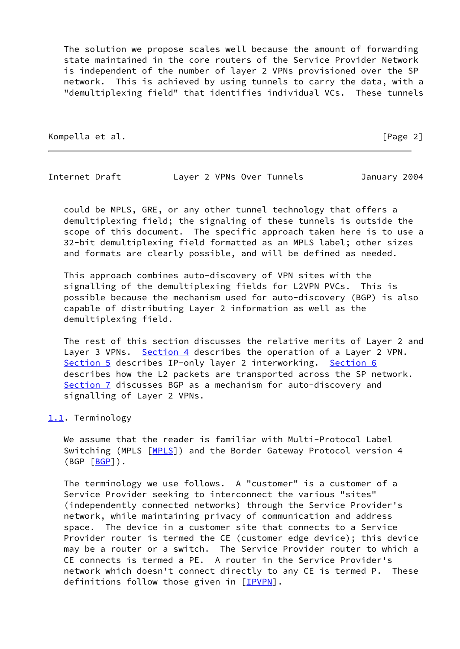The solution we propose scales well because the amount of forwarding state maintained in the core routers of the Service Provider Network is independent of the number of layer 2 VPNs provisioned over the SP network. This is achieved by using tunnels to carry the data, with a "demultiplexing field" that identifies individual VCs. These tunnels

Kompella et al. **[Page 2]** 

Internet Draft Layer 2 VPNs Over Tunnels January 2004

 could be MPLS, GRE, or any other tunnel technology that offers a demultiplexing field; the signaling of these tunnels is outside the scope of this document. The specific approach taken here is to use a 32-bit demultiplexing field formatted as an MPLS label; other sizes and formats are clearly possible, and will be defined as needed.

 This approach combines auto-discovery of VPN sites with the signalling of the demultiplexing fields for L2VPN PVCs. This is possible because the mechanism used for auto-discovery (BGP) is also capable of distributing Layer 2 information as well as the demultiplexing field.

 The rest of this section discusses the relative merits of Layer 2 and Layer 3 VPNs. [Section 4](#page-18-0) describes the operation of a Layer 2 VPN. [Section 5](#page-19-0) describes IP-only layer 2 interworking. [Section 6](#page-20-0) describes how the L2 packets are transported across the SP network. [Section 7](#page-26-0) discusses BGP as a mechanism for auto-discovery and signalling of Layer 2 VPNs.

# <span id="page-2-0"></span>[1.1](#page-2-0). Terminology

We assume that the reader is familiar with Multi-Protocol Label Switching (MPLS [\[MPLS](#page-28-2)]) and the Border Gateway Protocol version 4  $(BGP [BGP])$  $(BGP [BGP])$  $(BGP [BGP])$ .

 The terminology we use follows. A "customer" is a customer of a Service Provider seeking to interconnect the various "sites" (independently connected networks) through the Service Provider's network, while maintaining privacy of communication and address space. The device in a customer site that connects to a Service Provider router is termed the CE (customer edge device); this device may be a router or a switch. The Service Provider router to which a CE connects is termed a PE. A router in the Service Provider's network which doesn't connect directly to any CE is termed P. These definitions follow those given in [[IPVPN\]](#page-28-1).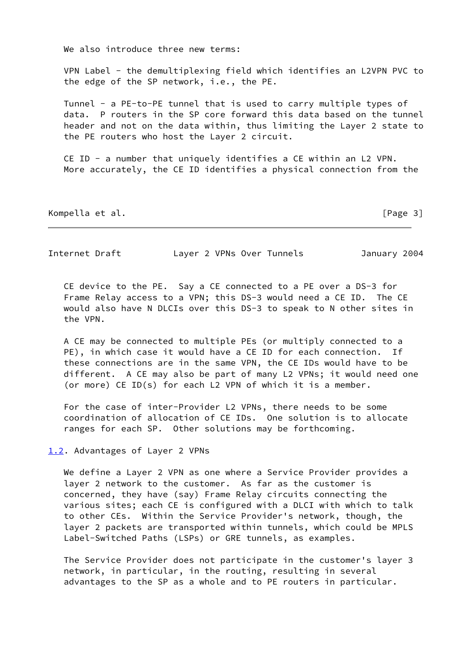We also introduce three new terms:

 VPN Label - the demultiplexing field which identifies an L2VPN PVC to the edge of the SP network, i.e., the PE.

 Tunnel - a PE-to-PE tunnel that is used to carry multiple types of data. P routers in the SP core forward this data based on the tunnel header and not on the data within, thus limiting the Layer 2 state to the PE routers who host the Layer 2 circuit.

 CE ID - a number that uniquely identifies a CE within an L2 VPN. More accurately, the CE ID identifies a physical connection from the

Kompella et al. **Exampella et al. Exampella** et al. **Exampella** et al. **Exampella** et al. **Exampella** et al. **Exampella** et al. **Exampella** et al. **Example 2** 

Internet Draft Layer 2 VPNs Over Tunnels January 2004

 CE device to the PE. Say a CE connected to a PE over a DS-3 for Frame Relay access to a VPN; this DS-3 would need a CE ID. The CE would also have N DLCIs over this DS-3 to speak to N other sites in the VPN.

 A CE may be connected to multiple PEs (or multiply connected to a PE), in which case it would have a CE ID for each connection. If these connections are in the same VPN, the CE IDs would have to be different. A CE may also be part of many L2 VPNs; it would need one (or more) CE ID(s) for each L2 VPN of which it is a member.

 For the case of inter-Provider L2 VPNs, there needs to be some coordination of allocation of CE IDs. One solution is to allocate ranges for each SP. Other solutions may be forthcoming.

<span id="page-3-0"></span>[1.2](#page-3-0). Advantages of Layer 2 VPNs

 We define a Layer 2 VPN as one where a Service Provider provides a layer 2 network to the customer. As far as the customer is concerned, they have (say) Frame Relay circuits connecting the various sites; each CE is configured with a DLCI with which to talk to other CEs. Within the Service Provider's network, though, the layer 2 packets are transported within tunnels, which could be MPLS Label-Switched Paths (LSPs) or GRE tunnels, as examples.

 The Service Provider does not participate in the customer's layer 3 network, in particular, in the routing, resulting in several advantages to the SP as a whole and to PE routers in particular.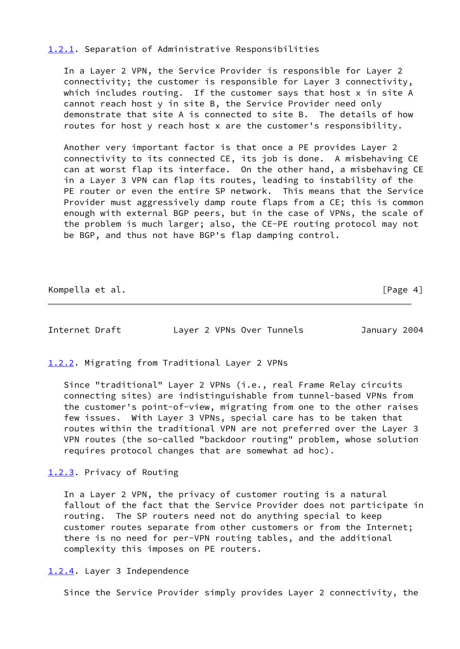# <span id="page-4-0"></span>[1.2.1](#page-4-0). Separation of Administrative Responsibilities

 In a Layer 2 VPN, the Service Provider is responsible for Layer 2 connectivity; the customer is responsible for Layer 3 connectivity, which includes routing. If the customer says that host x in site A cannot reach host y in site B, the Service Provider need only demonstrate that site A is connected to site B. The details of how routes for host y reach host x are the customer's responsibility.

 Another very important factor is that once a PE provides Layer 2 connectivity to its connected CE, its job is done. A misbehaving CE can at worst flap its interface. On the other hand, a misbehaving CE in a Layer 3 VPN can flap its routes, leading to instability of the PE router or even the entire SP network. This means that the Service Provider must aggressively damp route flaps from a CE; this is common enough with external BGP peers, but in the case of VPNs, the scale of the problem is much larger; also, the CE-PE routing protocol may not be BGP, and thus not have BGP's flap damping control.

Kompella et al. **Example 2018** Second 2018 12:30 Second 2018 12:30 Second 2018 12:30 Second 2018 12:30 Second 2018 12:30 Second 2019 12:30 Second 2019 12:30 Second 2019 12:30 Second 2019 12:30 Second 2019 12:30 Second 2019

Internet Draft Layer 2 VPNs Over Tunnels January 2004

<span id="page-4-1"></span>[1.2.2](#page-4-1). Migrating from Traditional Layer 2 VPNs

 Since "traditional" Layer 2 VPNs (i.e., real Frame Relay circuits connecting sites) are indistinguishable from tunnel-based VPNs from the customer's point-of-view, migrating from one to the other raises few issues. With Layer 3 VPNs, special care has to be taken that routes within the traditional VPN are not preferred over the Layer 3 VPN routes (the so-called "backdoor routing" problem, whose solution requires protocol changes that are somewhat ad hoc).

<span id="page-4-2"></span>[1.2.3](#page-4-2). Privacy of Routing

 In a Layer 2 VPN, the privacy of customer routing is a natural fallout of the fact that the Service Provider does not participate in routing. The SP routers need not do anything special to keep customer routes separate from other customers or from the Internet; there is no need for per-VPN routing tables, and the additional complexity this imposes on PE routers.

<span id="page-4-3"></span>[1.2.4](#page-4-3). Layer 3 Independence

Since the Service Provider simply provides Layer 2 connectivity, the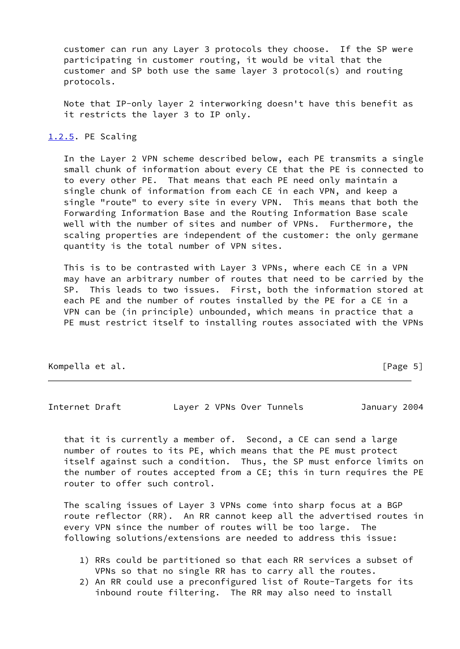customer can run any Layer 3 protocols they choose. If the SP were participating in customer routing, it would be vital that the customer and SP both use the same layer 3 protocol(s) and routing protocols.

 Note that IP-only layer 2 interworking doesn't have this benefit as it restricts the layer 3 to IP only.

# <span id="page-5-0"></span>[1.2.5](#page-5-0). PE Scaling

 In the Layer 2 VPN scheme described below, each PE transmits a single small chunk of information about every CE that the PE is connected to to every other PE. That means that each PE need only maintain a single chunk of information from each CE in each VPN, and keep a single "route" to every site in every VPN. This means that both the Forwarding Information Base and the Routing Information Base scale well with the number of sites and number of VPNs. Furthermore, the scaling properties are independent of the customer: the only germane quantity is the total number of VPN sites.

 This is to be contrasted with Layer 3 VPNs, where each CE in a VPN may have an arbitrary number of routes that need to be carried by the SP. This leads to two issues. First, both the information stored at each PE and the number of routes installed by the PE for a CE in a VPN can be (in principle) unbounded, which means in practice that a PE must restrict itself to installing routes associated with the VPNs

Kompella et al. **[Page 5]** 

Internet Draft Layer 2 VPNs Over Tunnels January 2004

 that it is currently a member of. Second, a CE can send a large number of routes to its PE, which means that the PE must protect itself against such a condition. Thus, the SP must enforce limits on the number of routes accepted from a CE; this in turn requires the PE router to offer such control.

 The scaling issues of Layer 3 VPNs come into sharp focus at a BGP route reflector (RR). An RR cannot keep all the advertised routes in every VPN since the number of routes will be too large. The following solutions/extensions are needed to address this issue:

- 1) RRs could be partitioned so that each RR services a subset of VPNs so that no single RR has to carry all the routes.
- 2) An RR could use a preconfigured list of Route-Targets for its inbound route filtering. The RR may also need to install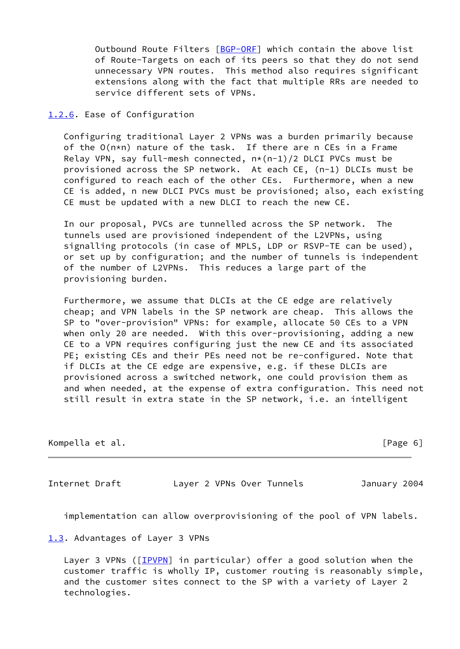Outbound Route Filters [\[BGP-ORF](#page-27-1)] which contain the above list of Route-Targets on each of its peers so that they do not send unnecessary VPN routes. This method also requires significant extensions along with the fact that multiple RRs are needed to service different sets of VPNs.

### <span id="page-6-0"></span>[1.2.6](#page-6-0). Ease of Configuration

 Configuring traditional Layer 2 VPNs was a burden primarily because of the O(n\*n) nature of the task. If there are n CEs in a Frame Relay VPN, say full-mesh connected, n\*(n-1)/2 DLCI PVCs must be provisioned across the SP network. At each CE, (n-1) DLCIs must be configured to reach each of the other CEs. Furthermore, when a new CE is added, n new DLCI PVCs must be provisioned; also, each existing CE must be updated with a new DLCI to reach the new CE.

 In our proposal, PVCs are tunnelled across the SP network. The tunnels used are provisioned independent of the L2VPNs, using signalling protocols (in case of MPLS, LDP or RSVP-TE can be used), or set up by configuration; and the number of tunnels is independent of the number of L2VPNs. This reduces a large part of the provisioning burden.

 Furthermore, we assume that DLCIs at the CE edge are relatively cheap; and VPN labels in the SP network are cheap. This allows the SP to "over-provision" VPNs: for example, allocate 50 CEs to a VPN when only 20 are needed. With this over-provisioning, adding a new CE to a VPN requires configuring just the new CE and its associated PE; existing CEs and their PEs need not be re-configured. Note that if DLCIs at the CE edge are expensive, e.g. if these DLCIs are provisioned across a switched network, one could provision them as and when needed, at the expense of extra configuration. This need not still result in extra state in the SP network, i.e. an intelligent

| Kompella et al. |  |  | [Page 6] |  |
|-----------------|--|--|----------|--|
|                 |  |  |          |  |

Internet Draft Layer 2 VPNs Over Tunnels January 2004

implementation can allow overprovisioning of the pool of VPN labels.

<span id="page-6-1"></span>[1.3](#page-6-1). Advantages of Layer 3 VPNs

Layer 3 VPNs ([[IPVPN\]](#page-28-1) in particular) offer a good solution when the customer traffic is wholly IP, customer routing is reasonably simple, and the customer sites connect to the SP with a variety of Layer 2 technologies.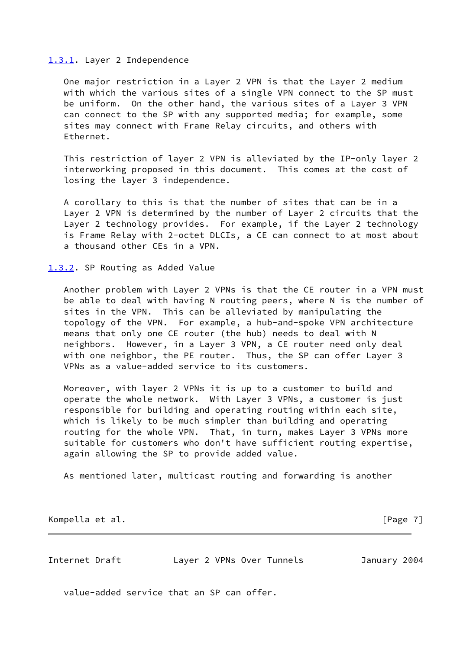#### <span id="page-7-0"></span>[1.3.1](#page-7-0). Layer 2 Independence

 One major restriction in a Layer 2 VPN is that the Layer 2 medium with which the various sites of a single VPN connect to the SP must be uniform. On the other hand, the various sites of a Layer 3 VPN can connect to the SP with any supported media; for example, some sites may connect with Frame Relay circuits, and others with Ethernet.

 This restriction of layer 2 VPN is alleviated by the IP-only layer 2 interworking proposed in this document. This comes at the cost of losing the layer 3 independence.

 A corollary to this is that the number of sites that can be in a Layer 2 VPN is determined by the number of Layer 2 circuits that the Layer 2 technology provides. For example, if the Layer 2 technology is Frame Relay with 2-octet DLCIs, a CE can connect to at most about a thousand other CEs in a VPN.

### <span id="page-7-1"></span>[1.3.2](#page-7-1). SP Routing as Added Value

 Another problem with Layer 2 VPNs is that the CE router in a VPN must be able to deal with having N routing peers, where N is the number of sites in the VPN. This can be alleviated by manipulating the topology of the VPN. For example, a hub-and-spoke VPN architecture means that only one CE router (the hub) needs to deal with N neighbors. However, in a Layer 3 VPN, a CE router need only deal with one neighbor, the PE router. Thus, the SP can offer Layer 3 VPNs as a value-added service to its customers.

 Moreover, with layer 2 VPNs it is up to a customer to build and operate the whole network. With Layer 3 VPNs, a customer is just responsible for building and operating routing within each site, which is likely to be much simpler than building and operating routing for the whole VPN. That, in turn, makes Layer 3 VPNs more suitable for customers who don't have sufficient routing expertise, again allowing the SP to provide added value.

As mentioned later, multicast routing and forwarding is another

Kompella et al. [Page 7]

Internet Draft Layer 2 VPNs Over Tunnels January 2004

value-added service that an SP can offer.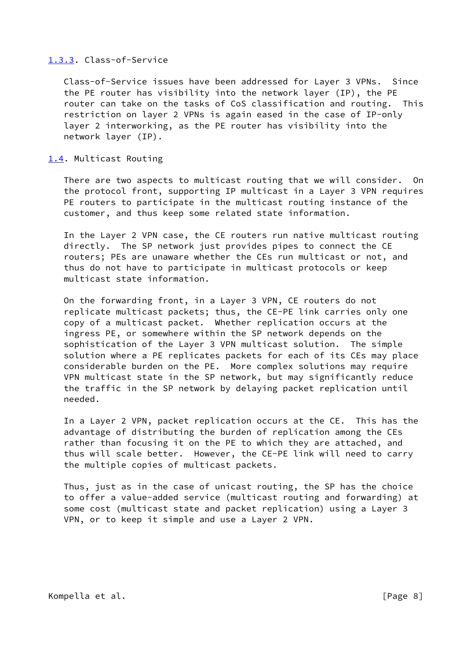# <span id="page-8-0"></span>[1.3.3](#page-8-0). Class-of-Service

 Class-of-Service issues have been addressed for Layer 3 VPNs. Since the PE router has visibility into the network layer (IP), the PE router can take on the tasks of CoS classification and routing. This restriction on layer 2 VPNs is again eased in the case of IP-only layer 2 interworking, as the PE router has visibility into the network layer (IP).

#### <span id="page-8-1"></span>[1.4](#page-8-1). Multicast Routing

 There are two aspects to multicast routing that we will consider. On the protocol front, supporting IP multicast in a Layer 3 VPN requires PE routers to participate in the multicast routing instance of the customer, and thus keep some related state information.

 In the Layer 2 VPN case, the CE routers run native multicast routing directly. The SP network just provides pipes to connect the CE routers; PEs are unaware whether the CEs run multicast or not, and thus do not have to participate in multicast protocols or keep multicast state information.

 On the forwarding front, in a Layer 3 VPN, CE routers do not replicate multicast packets; thus, the CE-PE link carries only one copy of a multicast packet. Whether replication occurs at the ingress PE, or somewhere within the SP network depends on the sophistication of the Layer 3 VPN multicast solution. The simple solution where a PE replicates packets for each of its CEs may place considerable burden on the PE. More complex solutions may require VPN multicast state in the SP network, but may significantly reduce the traffic in the SP network by delaying packet replication until needed.

 In a Layer 2 VPN, packet replication occurs at the CE. This has the advantage of distributing the burden of replication among the CEs rather than focusing it on the PE to which they are attached, and thus will scale better. However, the CE-PE link will need to carry the multiple copies of multicast packets.

 Thus, just as in the case of unicast routing, the SP has the choice to offer a value-added service (multicast routing and forwarding) at some cost (multicast state and packet replication) using a Layer 3 VPN, or to keep it simple and use a Layer 2 VPN.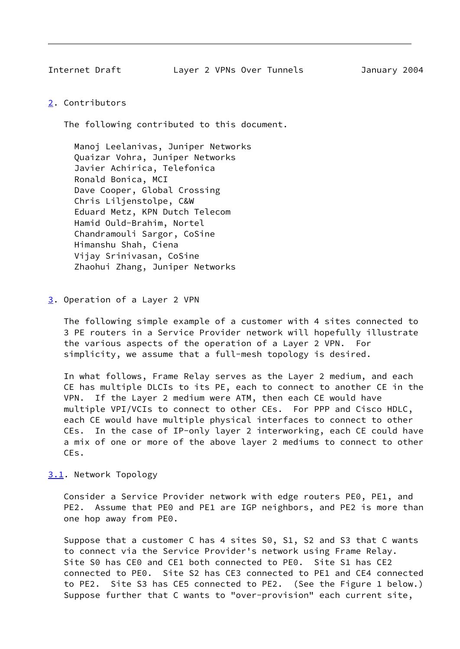Internet Draft Layer 2 VPNs Over Tunnels January 2004

<span id="page-9-0"></span>[2](#page-9-0). Contributors

The following contributed to this document.

 Manoj Leelanivas, Juniper Networks Quaizar Vohra, Juniper Networks Javier Achirica, Telefonica Ronald Bonica, MCI Dave Cooper, Global Crossing Chris Liljenstolpe, C&W Eduard Metz, KPN Dutch Telecom Hamid Ould-Brahim, Nortel Chandramouli Sargor, CoSine Himanshu Shah, Ciena Vijay Srinivasan, CoSine Zhaohui Zhang, Juniper Networks

<span id="page-9-1"></span>[3](#page-9-1). Operation of a Layer 2 VPN

 The following simple example of a customer with 4 sites connected to 3 PE routers in a Service Provider network will hopefully illustrate the various aspects of the operation of a Layer 2 VPN. For simplicity, we assume that a full-mesh topology is desired.

 In what follows, Frame Relay serves as the Layer 2 medium, and each CE has multiple DLCIs to its PE, each to connect to another CE in the VPN. If the Layer 2 medium were ATM, then each CE would have multiple VPI/VCIs to connect to other CEs. For PPP and Cisco HDLC, each CE would have multiple physical interfaces to connect to other CEs. In the case of IP-only layer 2 interworking, each CE could have a mix of one or more of the above layer 2 mediums to connect to other CEs.

<span id="page-9-2"></span>[3.1](#page-9-2). Network Topology

 Consider a Service Provider network with edge routers PE0, PE1, and PE2. Assume that PE0 and PE1 are IGP neighbors, and PE2 is more than one hop away from PE0.

 Suppose that a customer C has 4 sites S0, S1, S2 and S3 that C wants to connect via the Service Provider's network using Frame Relay. Site S0 has CE0 and CE1 both connected to PE0. Site S1 has CE2 connected to PE0. Site S2 has CE3 connected to PE1 and CE4 connected to PE2. Site S3 has CE5 connected to PE2. (See the Figure 1 below.) Suppose further that C wants to "over-provision" each current site,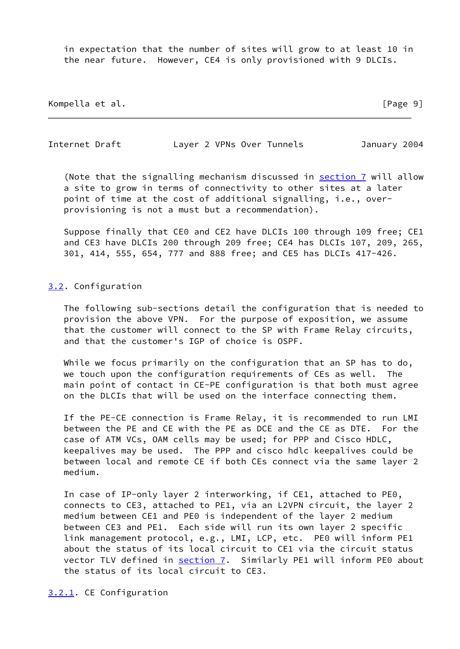in expectation that the number of sites will grow to at least 10 in the near future. However, CE4 is only provisioned with 9 DLCIs.

Kompella et al. **[Page 9]** 

Internet Draft Layer 2 VPNs Over Tunnels January 2004

(Note that the signalling mechanism discussed in [section 7](#page-26-0) will allow a site to grow in terms of connectivity to other sites at a later point of time at the cost of additional signalling, i.e., over provisioning is not a must but a recommendation).

 Suppose finally that CE0 and CE2 have DLCIs 100 through 109 free; CE1 and CE3 have DLCIs 200 through 209 free; CE4 has DLCIs 107, 209, 265, 301, 414, 555, 654, 777 and 888 free; and CE5 has DLCIs 417-426.

#### <span id="page-10-0"></span>[3.2](#page-10-0). Configuration

 The following sub-sections detail the configuration that is needed to provision the above VPN. For the purpose of exposition, we assume that the customer will connect to the SP with Frame Relay circuits, and that the customer's IGP of choice is OSPF.

While we focus primarily on the configuration that an SP has to do, we touch upon the configuration requirements of CEs as well. The main point of contact in CE-PE configuration is that both must agree on the DLCIs that will be used on the interface connecting them.

 If the PE-CE connection is Frame Relay, it is recommended to run LMI between the PE and CE with the PE as DCE and the CE as DTE. For the case of ATM VCs, OAM cells may be used; for PPP and Cisco HDLC, keepalives may be used. The PPP and cisco hdlc keepalives could be between local and remote CE if both CEs connect via the same layer 2 medium.

 In case of IP-only layer 2 interworking, if CE1, attached to PE0, connects to CE3, attached to PE1, via an L2VPN circuit, the layer 2 medium between CE1 and PE0 is independent of the layer 2 medium between CE3 and PE1. Each side will run its own layer 2 specific link management protocol, e.g., LMI, LCP, etc. PE0 will inform PE1 about the status of its local circuit to CE1 via the circuit status vector TLV defined in [section 7.](#page-26-0) Similarly PE1 will inform PE0 about the status of its local circuit to CE3.

<span id="page-10-1"></span>[3.2.1](#page-10-1). CE Configuration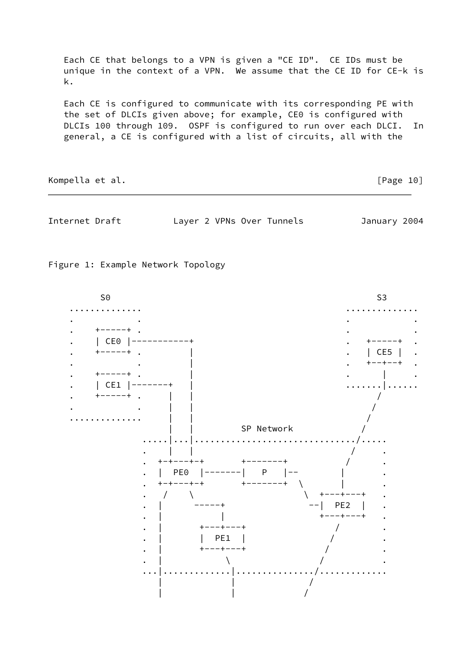Each CE that belongs to a VPN is given a "CE ID". CE IDs must be unique in the context of a VPN. We assume that the CE ID for CE-k is k.

 Each CE is configured to communicate with its corresponding PE with the set of DLCIs given above; for example, CE0 is configured with DLCIs 100 through 109. OSPF is configured to run over each DLCI. In general, a CE is configured with a list of circuits, all with the

Kompella et al. [Page 10]

Internet Draft Layer 2 VPNs Over Tunnels January 2004

Figure 1: Example Network Topology

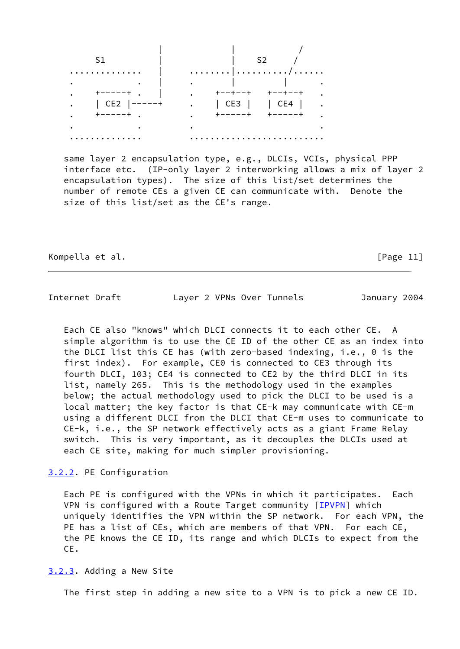| - S 1           | S2                                                                                                   |
|-----------------|------------------------------------------------------------------------------------------------------|
| .               |                                                                                                      |
|                 | $\mathbf{I}$ and $\mathbf{I}$ and $\mathbf{I}$ and $\mathbf{I}$<br><b>Contract Contract Contract</b> |
| $+ - - - - +$ . | . +--+--+ +--+--+                                                                                    |
| . $ CE2 -----+$ | . $\vert$ CE3 $\vert$   CE4                                                                          |
| . +-----+ .     | キーーーーーキ<br>$\cdot$ +-----+                                                                           |
|                 |                                                                                                      |
|                 |                                                                                                      |

 same layer 2 encapsulation type, e.g., DLCIs, VCIs, physical PPP interface etc. (IP-only layer 2 interworking allows a mix of layer 2 encapsulation types). The size of this list/set determines the number of remote CEs a given CE can communicate with. Denote the size of this list/set as the CE's range.

Kompella et al. [Page 11]

Internet Draft Layer 2 VPNs Over Tunnels January 2004

 Each CE also "knows" which DLCI connects it to each other CE. A simple algorithm is to use the CE ID of the other CE as an index into the DLCI list this CE has (with zero-based indexing, i.e., 0 is the first index). For example, CE0 is connected to CE3 through its fourth DLCI, 103; CE4 is connected to CE2 by the third DLCI in its list, namely 265. This is the methodology used in the examples below; the actual methodology used to pick the DLCI to be used is a local matter; the key factor is that CE-k may communicate with CE-m using a different DLCI from the DLCI that CE-m uses to communicate to CE-k, i.e., the SP network effectively acts as a giant Frame Relay switch. This is very important, as it decouples the DLCIs used at each CE site, making for much simpler provisioning.

# <span id="page-12-0"></span>[3.2.2](#page-12-0). PE Configuration

 Each PE is configured with the VPNs in which it participates. Each VPN is configured with a Route Target community [\[IPVPN](#page-28-1)] which uniquely identifies the VPN within the SP network. For each VPN, the PE has a list of CEs, which are members of that VPN. For each CE, the PE knows the CE ID, its range and which DLCIs to expect from the CE.

<span id="page-12-1"></span>[3.2.3](#page-12-1). Adding a New Site

The first step in adding a new site to a VPN is to pick a new CE ID.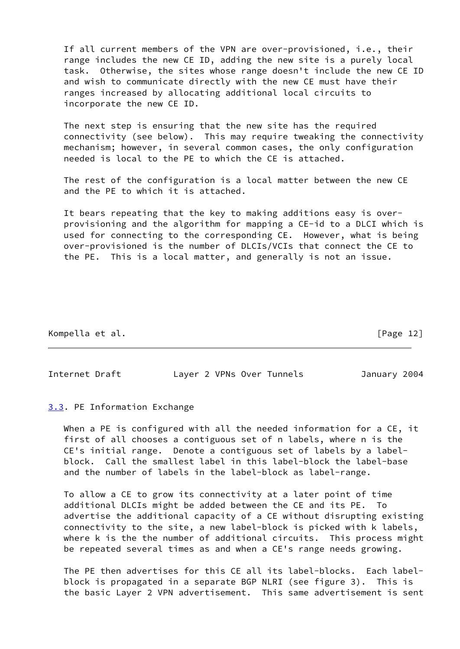If all current members of the VPN are over-provisioned, i.e., their range includes the new CE ID, adding the new site is a purely local task. Otherwise, the sites whose range doesn't include the new CE ID and wish to communicate directly with the new CE must have their ranges increased by allocating additional local circuits to incorporate the new CE ID.

 The next step is ensuring that the new site has the required connectivity (see below). This may require tweaking the connectivity mechanism; however, in several common cases, the only configuration needed is local to the PE to which the CE is attached.

 The rest of the configuration is a local matter between the new CE and the PE to which it is attached.

 It bears repeating that the key to making additions easy is over provisioning and the algorithm for mapping a CE-id to a DLCI which is used for connecting to the corresponding CE. However, what is being over-provisioned is the number of DLCIs/VCIs that connect the CE to the PE. This is a local matter, and generally is not an issue.

Kompella et al. [Page 12]

Internet Draft Layer 2 VPNs Over Tunnels January 2004

<span id="page-13-0"></span>[3.3](#page-13-0). PE Information Exchange

When a PE is configured with all the needed information for a CE, it first of all chooses a contiguous set of n labels, where n is the CE's initial range. Denote a contiguous set of labels by a label block. Call the smallest label in this label-block the label-base and the number of labels in the label-block as label-range.

 To allow a CE to grow its connectivity at a later point of time additional DLCIs might be added between the CE and its PE. To advertise the additional capacity of a CE without disrupting existing connectivity to the site, a new label-block is picked with k labels, where k is the the number of additional circuits. This process might be repeated several times as and when a CE's range needs growing.

 The PE then advertises for this CE all its label-blocks. Each label block is propagated in a separate BGP NLRI (see figure 3). This is the basic Layer 2 VPN advertisement. This same advertisement is sent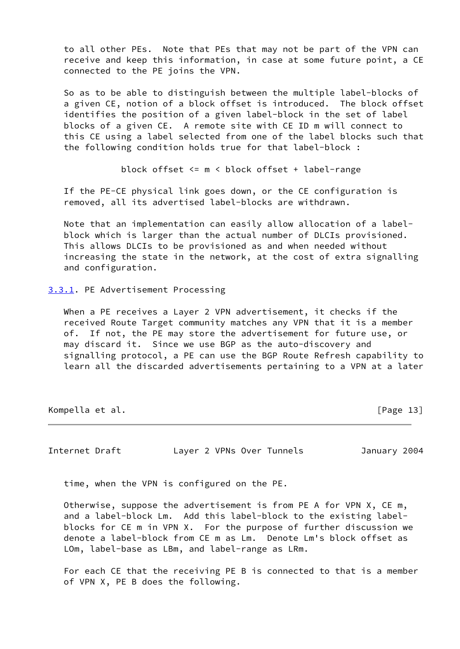to all other PEs. Note that PEs that may not be part of the VPN can receive and keep this information, in case at some future point, a CE connected to the PE joins the VPN.

 So as to be able to distinguish between the multiple label-blocks of a given CE, notion of a block offset is introduced. The block offset identifies the position of a given label-block in the set of label blocks of a given CE. A remote site with CE ID m will connect to this CE using a label selected from one of the label blocks such that the following condition holds true for that label-block :

block offset <= m < block offset + label-range

 If the PE-CE physical link goes down, or the CE configuration is removed, all its advertised label-blocks are withdrawn.

 Note that an implementation can easily allow allocation of a label block which is larger than the actual number of DLCIs provisioned. This allows DLCIs to be provisioned as and when needed without increasing the state in the network, at the cost of extra signalling and configuration.

<span id="page-14-0"></span>[3.3.1](#page-14-0). PE Advertisement Processing

 When a PE receives a Layer 2 VPN advertisement, it checks if the received Route Target community matches any VPN that it is a member of. If not, the PE may store the advertisement for future use, or may discard it. Since we use BGP as the auto-discovery and signalling protocol, a PE can use the BGP Route Refresh capability to learn all the discarded advertisements pertaining to a VPN at a later

Kompella et al. [Page 13]

Internet Draft Layer 2 VPNs Over Tunnels January 2004

time, when the VPN is configured on the PE.

 Otherwise, suppose the advertisement is from PE A for VPN X, CE m, and a label-block Lm. Add this label-block to the existing label blocks for CE m in VPN X. For the purpose of further discussion we denote a label-block from CE m as Lm. Denote Lm's block offset as LOm, label-base as LBm, and label-range as LRm.

 For each CE that the receiving PE B is connected to that is a member of VPN X, PE B does the following.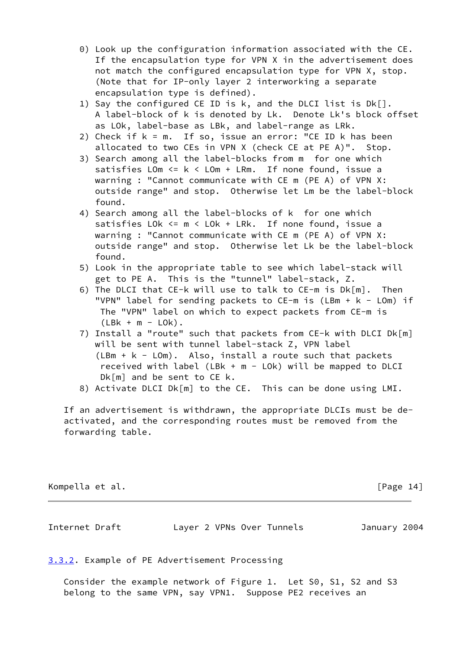- 0) Look up the configuration information associated with the CE. If the encapsulation type for VPN X in the advertisement does not match the configured encapsulation type for VPN X, stop. (Note that for IP-only layer 2 interworking a separate encapsulation type is defined).
- 1) Say the configured CE ID is k, and the DLCI list is Dk[]. A label-block of k is denoted by Lk. Denote Lk's block offset as LOk, label-base as LBk, and label-range as LRk.
- 2) Check if  $k = m$ . If so, issue an error: "CE ID  $k$  has been allocated to two CEs in VPN X (check CE at PE A)". Stop.
- 3) Search among all the label-blocks from m for one which satisfies LOm <= k < LOm + LRm. If none found, issue a warning : "Cannot communicate with CE m (PE A) of VPN X: outside range" and stop. Otherwise let Lm be the label-block found.
- 4) Search among all the label-blocks of k for one which satisfies LOk <= m < LOk + LRk. If none found, issue a warning : "Cannot communicate with CE m (PE A) of VPN X: outside range" and stop. Otherwise let Lk be the label-block found.
- 5) Look in the appropriate table to see which label-stack will get to PE A. This is the "tunnel" label-stack, Z.
- 6) The DLCI that CE-k will use to talk to CE-m is Dk[m]. Then "VPN" label for sending packets to  $CE-m$  is ( $LBm + k - LOm$ ) if The "VPN" label on which to expect packets from CE-m is  $(LBk + m - L0k)$ .
- 7) Install a "route" such that packets from CE-k with DLCI Dk[m] will be sent with tunnel label-stack Z, VPN label (LBm + k - LOm). Also, install a route such that packets received with label (LBk +  $m - L0k$ ) will be mapped to DLCI Dk[m] and be sent to CE k.
- 8) Activate DLCI Dk[m] to the CE. This can be done using LMI.

 If an advertisement is withdrawn, the appropriate DLCIs must be de activated, and the corresponding routes must be removed from the forwarding table.

# Kompella et al. [Page 14]

Internet Draft Layer 2 VPNs Over Tunnels January 2004

<span id="page-15-0"></span>[3.3.2](#page-15-0). Example of PE Advertisement Processing

 Consider the example network of Figure 1. Let S0, S1, S2 and S3 belong to the same VPN, say VPN1. Suppose PE2 receives an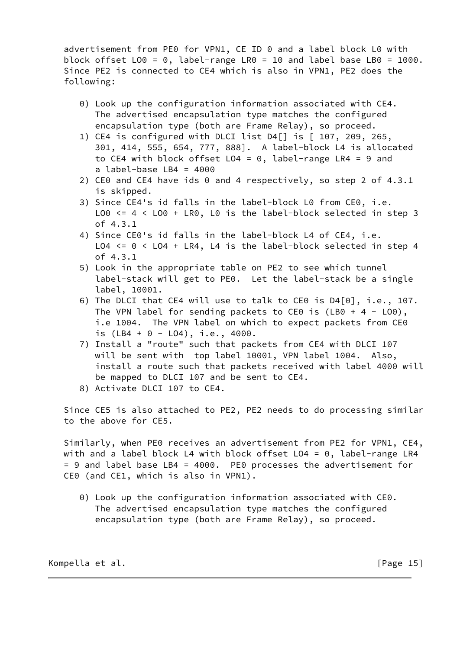advertisement from PE0 for VPN1, CE ID 0 and a label block L0 with block offset LO0 = 0, label-range LR0 = 10 and label base LB0 = 1000. Since PE2 is connected to CE4 which is also in VPN1, PE2 does the following:

- 0) Look up the configuration information associated with CE4. The advertised encapsulation type matches the configured encapsulation type (both are Frame Relay), so proceed.
- 1) CE4 is configured with DLCI list D4[] is [ 107, 209, 265, 301, 414, 555, 654, 777, 888]. A label-block L4 is allocated to CE4 with block offset LO4 = 0, label-range LR4 = 9 and a label-base LB4 = 4000
- 2) CE0 and CE4 have ids 0 and 4 respectively, so step 2 of 4.3.1 is skipped.
- 3) Since CE4's id falls in the label-block L0 from CE0, i.e. LO0 <= 4 < LO0 + LR0, L0 is the label-block selected in step 3 of 4.3.1
- 4) Since CE0's id falls in the label-block L4 of CE4, i.e. LO4 <= 0 < LO4 + LR4, L4 is the label-block selected in step 4 of 4.3.1
- 5) Look in the appropriate table on PE2 to see which tunnel label-stack will get to PE0. Let the label-stack be a single label, 10001.
- 6) The DLCI that CE4 will use to talk to CE0 is D4[0], i.e., 107. The VPN label for sending packets to CE0 is (LB0 + 4 - LO0), i.e 1004. The VPN label on which to expect packets from CE0 is (LB4 + 0 - LO4), i.e., 4000.
- 7) Install a "route" such that packets from CE4 with DLCI 107 will be sent with top label 10001, VPN label 1004. Also, install a route such that packets received with label 4000 will be mapped to DLCI 107 and be sent to CE4.
- 8) Activate DLCI 107 to CE4.

 Since CE5 is also attached to PE2, PE2 needs to do processing similar to the above for CE5.

 Similarly, when PE0 receives an advertisement from PE2 for VPN1, CE4, with and a label block L4 with block offset LO4 = 0, label-range LR4 = 9 and label base LB4 = 4000. PE0 processes the advertisement for CE0 (and CE1, which is also in VPN1).

 0) Look up the configuration information associated with CE0. The advertised encapsulation type matches the configured encapsulation type (both are Frame Relay), so proceed.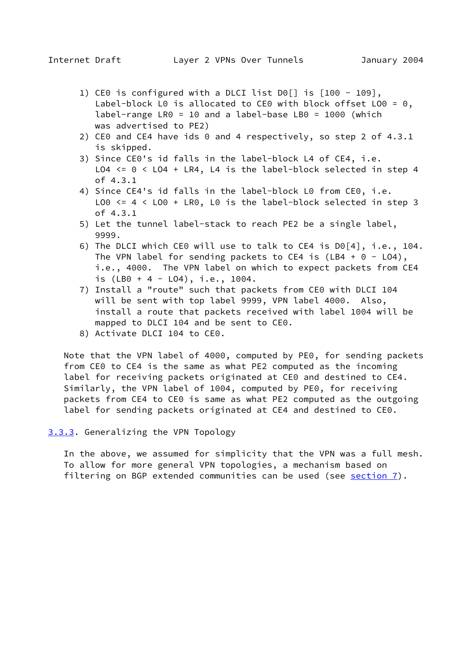- 1) CE0 is configured with a DLCI list D0[] is [100 109], Label-block L0 is allocated to CE0 with block offset L00 = 0, label-range LR0 = 10 and a label-base LB0 = 1000 (which was advertised to PE2)
- 2) CE0 and CE4 have ids 0 and 4 respectively, so step 2 of 4.3.1 is skipped.
- 3) Since CE0's id falls in the label-block L4 of CE4, i.e. LO4 <= 0 < LO4 + LR4, L4 is the label-block selected in step 4 of 4.3.1
- 4) Since CE4's id falls in the label-block L0 from CE0, i.e. LO0 <= 4 < LO0 + LR0, L0 is the label-block selected in step 3 of 4.3.1
- 5) Let the tunnel label-stack to reach PE2 be a single label, 9999.
- 6) The DLCI which CE0 will use to talk to CE4 is D0[4], i.e., 104. The VPN label for sending packets to CE4 is  $(LBA + 0 - L04)$ , i.e., 4000. The VPN label on which to expect packets from CE4 is (LB0 + 4 - LO4), i.e., 1004.
- 7) Install a "route" such that packets from CE0 with DLCI 104 will be sent with top label 9999, VPN label 4000. Also, install a route that packets received with label 1004 will be mapped to DLCI 104 and be sent to CE0.
- 8) Activate DLCI 104 to CE0.

 Note that the VPN label of 4000, computed by PE0, for sending packets from CE0 to CE4 is the same as what PE2 computed as the incoming label for receiving packets originated at CE0 and destined to CE4. Similarly, the VPN label of 1004, computed by PE0, for receiving packets from CE4 to CE0 is same as what PE2 computed as the outgoing label for sending packets originated at CE4 and destined to CE0.

<span id="page-17-0"></span>[3.3.3](#page-17-0). Generalizing the VPN Topology

 In the above, we assumed for simplicity that the VPN was a full mesh. To allow for more general VPN topologies, a mechanism based on filtering on BGP extended communities can be used (see  $section 7$ ).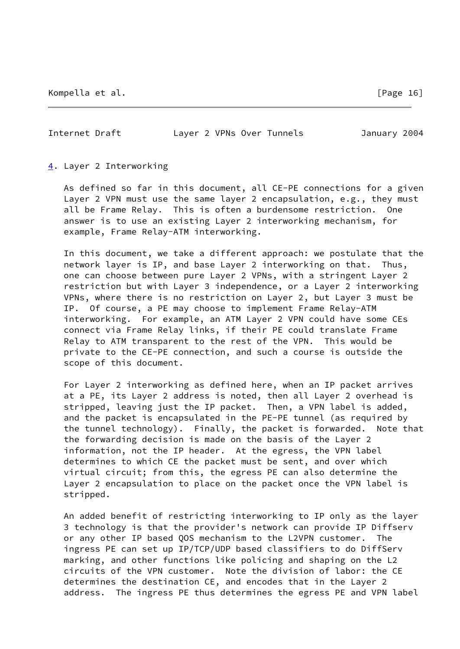Internet Draft Layer 2 VPNs Over Tunnels January 2004

<span id="page-18-0"></span>[4](#page-18-0). Layer 2 Interworking

 As defined so far in this document, all CE-PE connections for a given Layer 2 VPN must use the same layer 2 encapsulation, e.g., they must all be Frame Relay. This is often a burdensome restriction. One answer is to use an existing Layer 2 interworking mechanism, for example, Frame Relay-ATM interworking.

 In this document, we take a different approach: we postulate that the network layer is IP, and base Layer 2 interworking on that. Thus, one can choose between pure Layer 2 VPNs, with a stringent Layer 2 restriction but with Layer 3 independence, or a Layer 2 interworking VPNs, where there is no restriction on Layer 2, but Layer 3 must be IP. Of course, a PE may choose to implement Frame Relay-ATM interworking. For example, an ATM Layer 2 VPN could have some CEs connect via Frame Relay links, if their PE could translate Frame Relay to ATM transparent to the rest of the VPN. This would be private to the CE-PE connection, and such a course is outside the scope of this document.

 For Layer 2 interworking as defined here, when an IP packet arrives at a PE, its Layer 2 address is noted, then all Layer 2 overhead is stripped, leaving just the IP packet. Then, a VPN label is added, and the packet is encapsulated in the PE-PE tunnel (as required by the tunnel technology). Finally, the packet is forwarded. Note that the forwarding decision is made on the basis of the Layer 2 information, not the IP header. At the egress, the VPN label determines to which CE the packet must be sent, and over which virtual circuit; from this, the egress PE can also determine the Layer 2 encapsulation to place on the packet once the VPN label is stripped.

 An added benefit of restricting interworking to IP only as the layer 3 technology is that the provider's network can provide IP Diffserv or any other IP based QOS mechanism to the L2VPN customer. The ingress PE can set up IP/TCP/UDP based classifiers to do DiffServ marking, and other functions like policing and shaping on the L2 circuits of the VPN customer. Note the division of labor: the CE determines the destination CE, and encodes that in the Layer 2 address. The ingress PE thus determines the egress PE and VPN label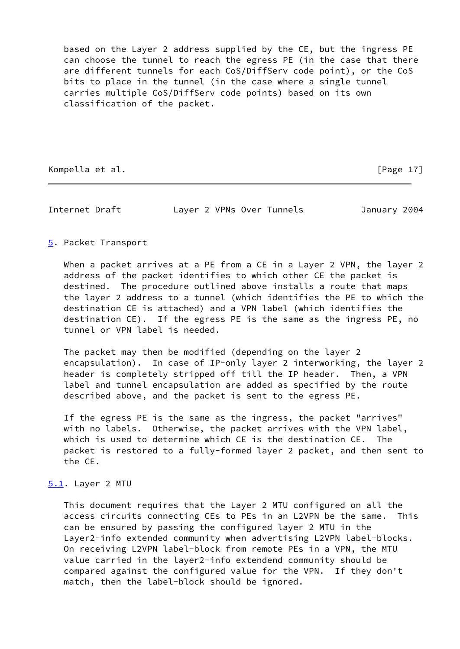based on the Layer 2 address supplied by the CE, but the ingress PE can choose the tunnel to reach the egress PE (in the case that there are different tunnels for each CoS/DiffServ code point), or the CoS bits to place in the tunnel (in the case where a single tunnel carries multiple CoS/DiffServ code points) based on its own classification of the packet.

Kompella et al. [Page 17]

Internet Draft Layer 2 VPNs Over Tunnels January 2004

## <span id="page-19-0"></span>[5](#page-19-0). Packet Transport

 When a packet arrives at a PE from a CE in a Layer 2 VPN, the layer 2 address of the packet identifies to which other CE the packet is destined. The procedure outlined above installs a route that maps the layer 2 address to a tunnel (which identifies the PE to which the destination CE is attached) and a VPN label (which identifies the destination CE). If the egress PE is the same as the ingress PE, no tunnel or VPN label is needed.

 The packet may then be modified (depending on the layer 2 encapsulation). In case of IP-only layer 2 interworking, the layer 2 header is completely stripped off till the IP header. Then, a VPN label and tunnel encapsulation are added as specified by the route described above, and the packet is sent to the egress PE.

 If the egress PE is the same as the ingress, the packet "arrives" with no labels. Otherwise, the packet arrives with the VPN label, which is used to determine which CE is the destination CE. The packet is restored to a fully-formed layer 2 packet, and then sent to the CE.

## <span id="page-19-1"></span>[5.1](#page-19-1). Layer 2 MTU

 This document requires that the Layer 2 MTU configured on all the access circuits connecting CEs to PEs in an L2VPN be the same. This can be ensured by passing the configured layer 2 MTU in the Layer2-info extended community when advertising L2VPN label-blocks. On receiving L2VPN label-block from remote PEs in a VPN, the MTU value carried in the layer2-info extendend community should be compared against the configured value for the VPN. If they don't match, then the label-block should be ignored.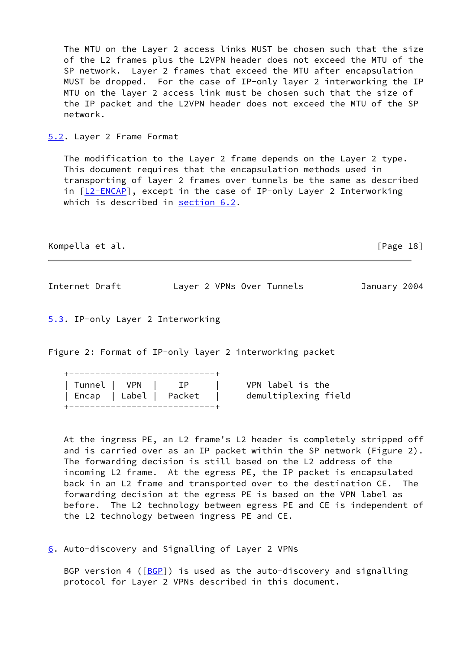The MTU on the Layer 2 access links MUST be chosen such that the size of the L2 frames plus the L2VPN header does not exceed the MTU of the SP network. Layer 2 frames that exceed the MTU after encapsulation MUST be dropped. For the case of IP-only layer 2 interworking the IP MTU on the layer 2 access link must be chosen such that the size of the IP packet and the L2VPN header does not exceed the MTU of the SP network.

<span id="page-20-1"></span>[5.2](#page-20-1). Layer 2 Frame Format

 The modification to the Layer 2 frame depends on the Layer 2 type. This document requires that the encapsulation methods used in transporting of layer 2 frames over tunnels be the same as described in  $[L2-ENCAP]$  $[L2-ENCAP]$ , except in the case of IP-only Layer 2 Interworking which is described in [section 6.2](#page-24-0).

Kompella et al. **[Page 18]** 

Internet Draft Layer 2 VPNs Over Tunnels January 2004

<span id="page-20-2"></span>[5.3](#page-20-2). IP-only Layer 2 Interworking

Figure 2: Format of IP-only layer 2 interworking packet

| -- | --------------------------- |  |  |  |  |  |  |  |  |  |  | __ |  |  |
|----|-----------------------------|--|--|--|--|--|--|--|--|--|--|----|--|--|
|    |                             |  |  |  |  |  |  |  |  |  |  |    |  |  |

| ' Tunnel   VPN         |         | 1 P |  |
|------------------------|---------|-----|--|
| Encap   Label   Packet |         |     |  |
|                        | $    -$ |     |  |

VPN label is the demultiplexing field

 At the ingress PE, an L2 frame's L2 header is completely stripped off and is carried over as an IP packet within the SP network (Figure 2). The forwarding decision is still based on the L2 address of the incoming L2 frame. At the egress PE, the IP packet is encapsulated back in an L2 frame and transported over to the destination CE. The forwarding decision at the egress PE is based on the VPN label as before. The L2 technology between egress PE and CE is independent of the L2 technology between ingress PE and CE.

<span id="page-20-0"></span>[6](#page-20-0). Auto-discovery and Signalling of Layer 2 VPNs

BGP version 4 ( $[BCP]$ ) is used as the auto-discovery and signalling protocol for Layer 2 VPNs described in this document.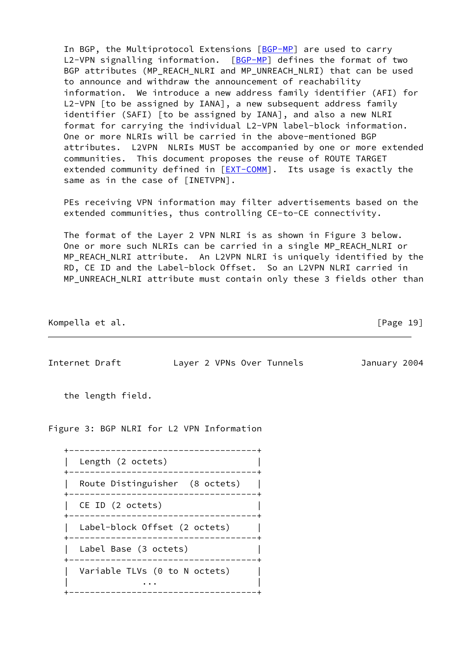In BGP, the Multiprotocol Extensions [\[BGP-MP](#page-27-3)] are used to carry L2-VPN signalling information. [\[BGP-MP](#page-27-3)] defines the format of two BGP attributes (MP\_REACH\_NLRI and MP\_UNREACH\_NLRI) that can be used to announce and withdraw the announcement of reachability information. We introduce a new address family identifier (AFI) for L2-VPN [to be assigned by IANA], a new subsequent address family identifier (SAFI) [to be assigned by IANA], and also a new NLRI format for carrying the individual L2-VPN label-block information. One or more NLRIs will be carried in the above-mentioned BGP attributes. L2VPN NLRIs MUST be accompanied by one or more extended communities. This document proposes the reuse of ROUTE TARGET extended community defined in  $[EXT-COMM]$  $[EXT-COMM]$ . Its usage is exactly the same as in the case of [INETVPN].

 PEs receiving VPN information may filter advertisements based on the extended communities, thus controlling CE-to-CE connectivity.

 The format of the Layer 2 VPN NLRI is as shown in Figure 3 below. One or more such NLRIs can be carried in a single MP\_REACH\_NLRI or MP\_REACH\_NLRI attribute. An L2VPN NLRI is uniquely identified by the RD, CE ID and the Label-block Offset. So an L2VPN NLRI carried in MP\_UNREACH\_NLRI attribute must contain only these 3 fields other than

Kompella et al. [Page 19]

Internet Draft Layer 2 VPNs Over Tunnels January 2004

the length field.

Figure 3: BGP NLRI for L2 VPN Information

 +------------------------------------+ Length (2 octets) +------------------------------------+ | Route Distinguisher (8 octets) | +------------------------------------+ CE ID (2 octets) +------------------------------------+ | Label-block Offset (2 octets) | +------------------------------------+ Label Base (3 octets) +------------------------------------+ Variable TLVs (0 to N octets) | ... | +------------------------------------+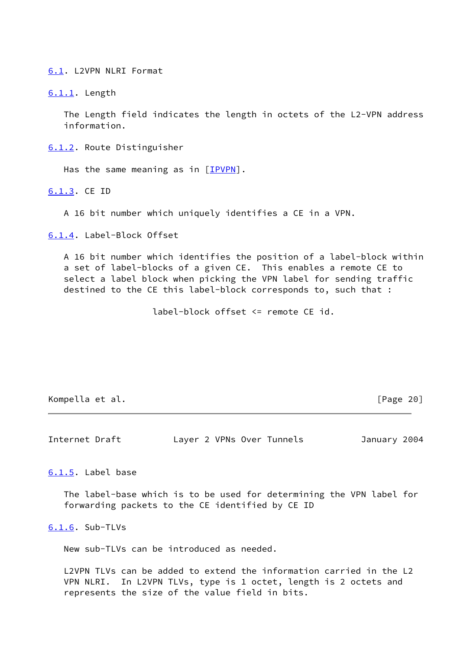<span id="page-22-0"></span>[6.1](#page-22-0). L2VPN NLRI Format

<span id="page-22-1"></span>[6.1.1](#page-22-1). Length

 The Length field indicates the length in octets of the L2-VPN address information.

<span id="page-22-2"></span>[6.1.2](#page-22-2). Route Distinguisher

Has the same meaning as in  $[IPVPN]$  $[IPVPN]$ .

<span id="page-22-3"></span>[6.1.3](#page-22-3). CE ID

A 16 bit number which uniquely identifies a CE in a VPN.

<span id="page-22-4"></span>[6.1.4](#page-22-4). Label-Block Offset

 A 16 bit number which identifies the position of a label-block within a set of label-blocks of a given CE. This enables a remote CE to select a label block when picking the VPN label for sending traffic destined to the CE this label-block corresponds to, such that :

label-block offset <= remote CE id.

Kompella et al. **[Page 20]** 

Internet Draft Layer 2 VPNs Over Tunnels January 2004

<span id="page-22-5"></span>[6.1.5](#page-22-5). Label base

 The label-base which is to be used for determining the VPN label for forwarding packets to the CE identified by CE ID

<span id="page-22-6"></span>[6.1.6](#page-22-6). Sub-TLVs

New sub-TLVs can be introduced as needed.

 L2VPN TLVs can be added to extend the information carried in the L2 VPN NLRI. In L2VPN TLVs, type is 1 octet, length is 2 octets and represents the size of the value field in bits.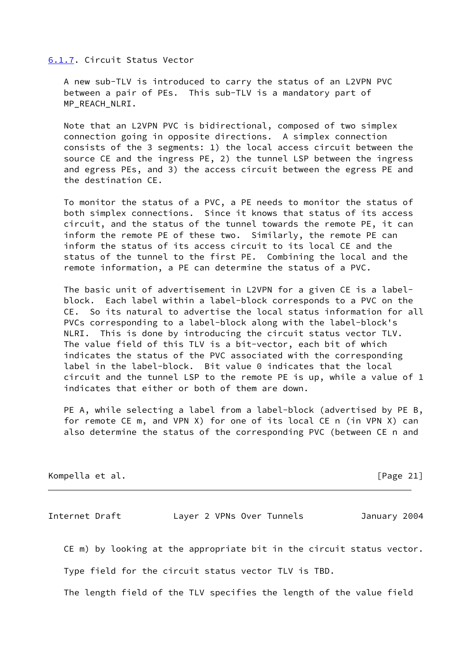#### <span id="page-23-0"></span>[6.1.7](#page-23-0). Circuit Status Vector

 A new sub-TLV is introduced to carry the status of an L2VPN PVC between a pair of PEs. This sub-TLV is a mandatory part of MP\_REACH\_NLRI.

 Note that an L2VPN PVC is bidirectional, composed of two simplex connection going in opposite directions. A simplex connection consists of the 3 segments: 1) the local access circuit between the source CE and the ingress PE, 2) the tunnel LSP between the ingress and egress PEs, and 3) the access circuit between the egress PE and the destination CE.

 To monitor the status of a PVC, a PE needs to monitor the status of both simplex connections. Since it knows that status of its access circuit, and the status of the tunnel towards the remote PE, it can inform the remote PE of these two. Similarly, the remote PE can inform the status of its access circuit to its local CE and the status of the tunnel to the first PE. Combining the local and the remote information, a PE can determine the status of a PVC.

 The basic unit of advertisement in L2VPN for a given CE is a label block. Each label within a label-block corresponds to a PVC on the CE. So its natural to advertise the local status information for all PVCs corresponding to a label-block along with the label-block's NLRI. This is done by introducing the circuit status vector TLV. The value field of this TLV is a bit-vector, each bit of which indicates the status of the PVC associated with the corresponding label in the label-block. Bit value 0 indicates that the local circuit and the tunnel LSP to the remote PE is up, while a value of 1 indicates that either or both of them are down.

 PE A, while selecting a label from a label-block (advertised by PE B, for remote CE m, and VPN X) for one of its local CE n (in VPN X) can also determine the status of the corresponding PVC (between CE n and

Kompella et al. [Page 21]

Internet Draft Layer 2 VPNs Over Tunnels January 2004

CE m) by looking at the appropriate bit in the circuit status vector.

Type field for the circuit status vector TLV is TBD.

The length field of the TLV specifies the length of the value field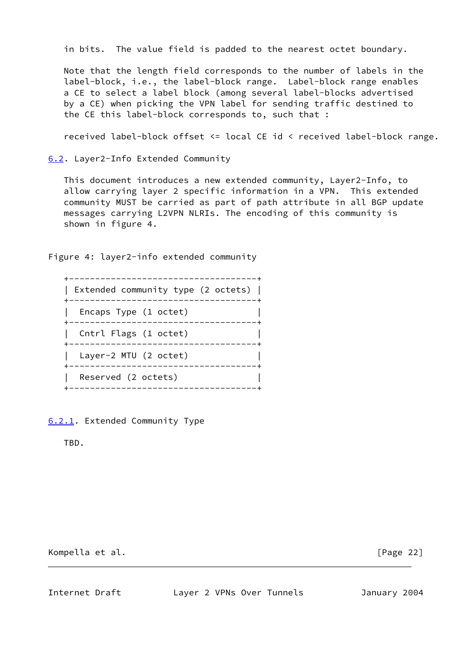in bits. The value field is padded to the nearest octet boundary.

 Note that the length field corresponds to the number of labels in the label-block, i.e., the label-block range. Label-block range enables a CE to select a label block (among several label-blocks advertised by a CE) when picking the VPN label for sending traffic destined to the CE this label-block corresponds to, such that :

received label-block offset <= local CE id < received label-block range.

<span id="page-24-0"></span>[6.2](#page-24-0). Layer2-Info Extended Community

 This document introduces a new extended community, Layer2-Info, to allow carrying layer 2 specific information in a VPN. This extended community MUST be carried as part of path attribute in all BGP update messages carrying L2VPN NLRIs. The encoding of this community is shown in figure 4.

Figure 4: layer2-info extended community



<span id="page-24-1"></span>[6.2.1](#page-24-1). Extended Community Type

TBD.

Kompella et al. [Page 22]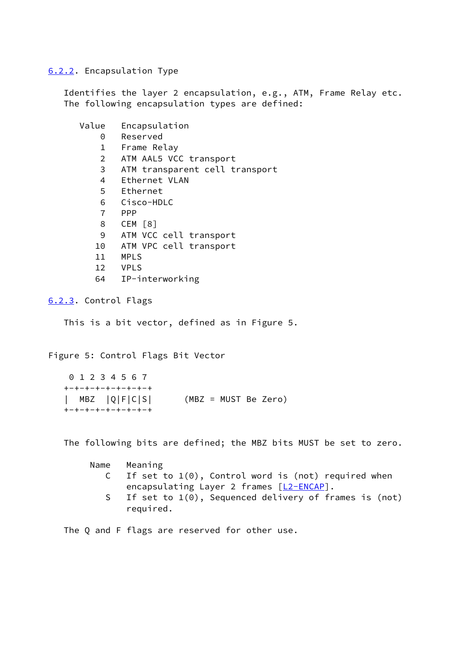<span id="page-25-0"></span>[6.2.2](#page-25-0). Encapsulation Type

 Identifies the layer 2 encapsulation, e.g., ATM, Frame Relay etc. The following encapsulation types are defined:

| Value          | Encapsulation                  |
|----------------|--------------------------------|
| 0              | Reserved                       |
| 1              | Frame Relay                    |
| $\overline{2}$ | ATM AAL5 VCC transport         |
| 3              | ATM transparent cell transport |
| 4              | Ethernet VLAN                  |
| 5              | Ethernet                       |
| 6              | Cisco-HDLC                     |
| 7              | <b>PPP</b>                     |
| 8              | CEM [8]                        |
| 9              | ATM VCC cell transport         |
| 10             | ATM VPC cell transport         |
| 11             | <b>MPLS</b>                    |
| 12             | <b>VPLS</b>                    |
| 64             | IP-interworking                |

<span id="page-25-1"></span>[6.2.3](#page-25-1). Control Flags

This is a bit vector, defined as in Figure 5.

Figure 5: Control Flags Bit Vector

 0 1 2 3 4 5 6 7 +-+-+-+-+-+-+-+-+ | MBZ |Q|F|C|S| (MBZ = MUST Be Zero) +-+-+-+-+-+-+-+-+

The following bits are defined; the MBZ bits MUST be set to zero.

| Name | Meaning                                                    |
|------|------------------------------------------------------------|
|      | C If set to $1(0)$ , Control word is (not) required when   |
|      | encapsulating Layer 2 frames [L2-ENCAP].                   |
|      | S If set to $1(0)$ , Sequenced delivery of frames is (not) |
|      | required.                                                  |

The Q and F flags are reserved for other use.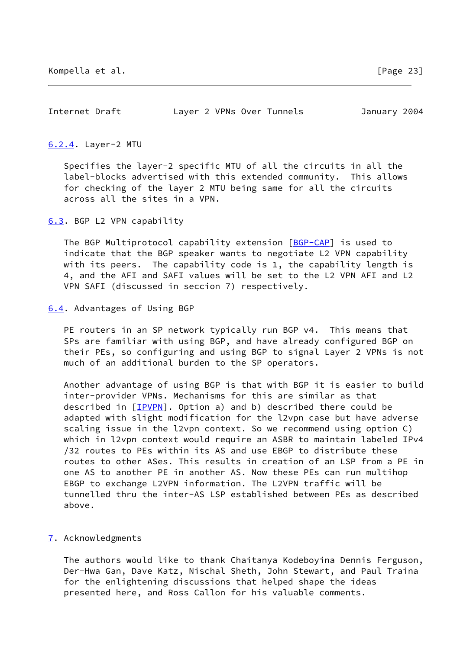Internet Draft Layer 2 VPNs Over Tunnels January 2004

#### <span id="page-26-1"></span>[6.2.4](#page-26-1). Layer-2 MTU

 Specifies the layer-2 specific MTU of all the circuits in all the label-blocks advertised with this extended community. This allows for checking of the layer 2 MTU being same for all the circuits across all the sites in a VPN.

<span id="page-26-2"></span>[6.3](#page-26-2). BGP L2 VPN capability

The BGP Multiprotocol capability extension [[BGP-CAP\]](#page-27-5) is used to indicate that the BGP speaker wants to negotiate L2 VPN capability with its peers. The capability code is 1, the capability length is 4, and the AFI and SAFI values will be set to the L2 VPN AFI and L2 VPN SAFI (discussed in seccion 7) respectively.

<span id="page-26-3"></span>[6.4](#page-26-3). Advantages of Using BGP

PE routers in an SP network typically run BGP v4. This means that SPs are familiar with using BGP, and have already configured BGP on their PEs, so configuring and using BGP to signal Layer 2 VPNs is not much of an additional burden to the SP operators.

 Another advantage of using BGP is that with BGP it is easier to build inter-provider VPNs. Mechanisms for this are similar as that described in [\[IPVPN\]](#page-28-1). Option a) and b) described there could be adapted with slight modification for the l2vpn case but have adverse scaling issue in the l2vpn context. So we recommend using option C) which in l2vpn context would require an ASBR to maintain labeled IPv4 /32 routes to PEs within its AS and use EBGP to distribute these routes to other ASes. This results in creation of an LSP from a PE in one AS to another PE in another AS. Now these PEs can run multihop EBGP to exchange L2VPN information. The L2VPN traffic will be tunnelled thru the inter-AS LSP established between PEs as described above.

# <span id="page-26-0"></span>[7](#page-26-0). Acknowledgments

 The authors would like to thank Chaitanya Kodeboyina Dennis Ferguson, Der-Hwa Gan, Dave Katz, Nischal Sheth, John Stewart, and Paul Traina for the enlightening discussions that helped shape the ideas presented here, and Ross Callon for his valuable comments.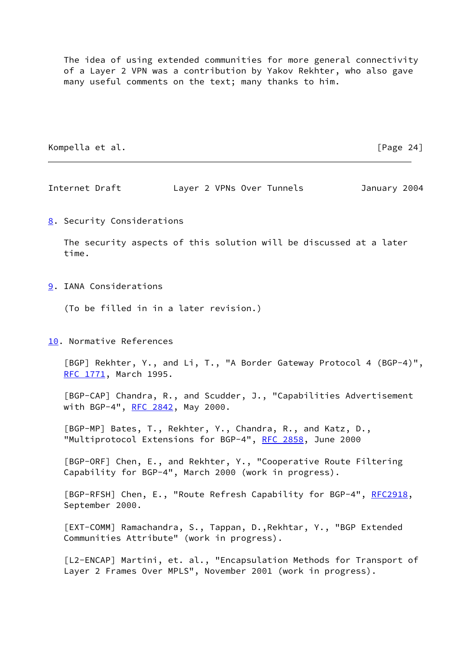The idea of using extended communities for more general connectivity of a Layer 2 VPN was a contribution by Yakov Rekhter, who also gave many useful comments on the text; many thanks to him.

Kompella et al. **[Page 24]** 

Internet Draft Layer 2 VPNs Over Tunnels January 2004

<span id="page-27-6"></span>[8](#page-27-6). Security Considerations

 The security aspects of this solution will be discussed at a later time.

<span id="page-27-7"></span>[9](#page-27-7). IANA Considerations

(To be filled in in a later revision.)

<span id="page-27-8"></span>[10.](#page-27-8) Normative References

<span id="page-27-0"></span> [BGP] Rekhter, Y., and Li, T., "A Border Gateway Protocol 4 (BGP-4)", [RFC 1771](https://datatracker.ietf.org/doc/pdf/rfc1771), March 1995.

<span id="page-27-5"></span> [BGP-CAP] Chandra, R., and Scudder, J., "Capabilities Advertisement with BGP-4", [RFC 2842](https://datatracker.ietf.org/doc/pdf/rfc2842), May 2000.

<span id="page-27-3"></span> [BGP-MP] Bates, T., Rekhter, Y., Chandra, R., and Katz, D., "Multiprotocol Extensions for BGP-4", [RFC 2858](https://datatracker.ietf.org/doc/pdf/rfc2858), June 2000

<span id="page-27-1"></span> [BGP-ORF] Chen, E., and Rekhter, Y., "Cooperative Route Filtering Capability for BGP-4", March 2000 (work in progress).

[BGP-RFSH] Chen, E., "Route Refresh Capability for BGP-4", [RFC2918](https://datatracker.ietf.org/doc/pdf/rfc2918), September 2000.

<span id="page-27-4"></span> [EXT-COMM] Ramachandra, S., Tappan, D.,Rekhtar, Y., "BGP Extended Communities Attribute" (work in progress).

<span id="page-27-2"></span> [L2-ENCAP] Martini, et. al., "Encapsulation Methods for Transport of Layer 2 Frames Over MPLS", November 2001 (work in progress).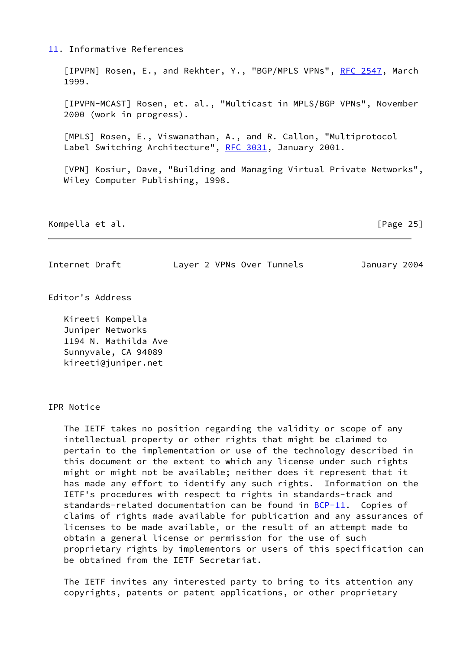# <span id="page-28-3"></span>[11.](#page-28-3) Informative References

<span id="page-28-1"></span>[IPVPN] Rosen, E., and Rekhter, Y., "BGP/MPLS VPNs", [RFC 2547](https://datatracker.ietf.org/doc/pdf/rfc2547), March 1999.

 [IPVPN-MCAST] Rosen, et. al., "Multicast in MPLS/BGP VPNs", November 2000 (work in progress).

<span id="page-28-2"></span> [MPLS] Rosen, E., Viswanathan, A., and R. Callon, "Multiprotocol Label Switching Architecture", [RFC 3031,](https://datatracker.ietf.org/doc/pdf/rfc3031) January 2001.

<span id="page-28-0"></span> [VPN] Kosiur, Dave, "Building and Managing Virtual Private Networks", Wiley Computer Publishing, 1998.

Kompella et al. [Page 25]

# Internet Draft Layer 2 VPNs Over Tunnels January 2004

Editor's Address

 Kireeti Kompella Juniper Networks 1194 N. Mathilda Ave Sunnyvale, CA 94089 kireeti@juniper.net

IPR Notice

 The IETF takes no position regarding the validity or scope of any intellectual property or other rights that might be claimed to pertain to the implementation or use of the technology described in this document or the extent to which any license under such rights might or might not be available; neither does it represent that it has made any effort to identify any such rights. Information on the IETF's procedures with respect to rights in standards-track and standards-related documentation can be found in [BCP-11](https://datatracker.ietf.org/doc/pdf/bcp11). Copies of claims of rights made available for publication and any assurances of licenses to be made available, or the result of an attempt made to obtain a general license or permission for the use of such proprietary rights by implementors or users of this specification can be obtained from the IETF Secretariat.

 The IETF invites any interested party to bring to its attention any copyrights, patents or patent applications, or other proprietary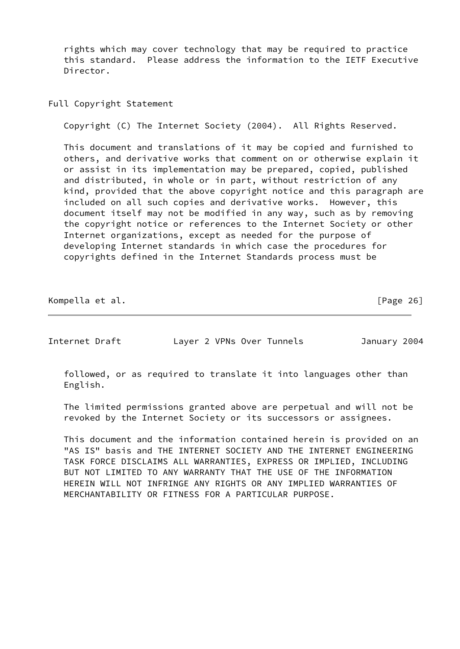rights which may cover technology that may be required to practice this standard. Please address the information to the IETF Executive Director.

Full Copyright Statement

Copyright (C) The Internet Society (2004). All Rights Reserved.

 This document and translations of it may be copied and furnished to others, and derivative works that comment on or otherwise explain it or assist in its implementation may be prepared, copied, published and distributed, in whole or in part, without restriction of any kind, provided that the above copyright notice and this paragraph are included on all such copies and derivative works. However, this document itself may not be modified in any way, such as by removing the copyright notice or references to the Internet Society or other Internet organizations, except as needed for the purpose of developing Internet standards in which case the procedures for copyrights defined in the Internet Standards process must be

Kompella et al. [Page 26]

Internet Draft Layer 2 VPNs Over Tunnels January 2004

 followed, or as required to translate it into languages other than English.

 The limited permissions granted above are perpetual and will not be revoked by the Internet Society or its successors or assignees.

 This document and the information contained herein is provided on an "AS IS" basis and THE INTERNET SOCIETY AND THE INTERNET ENGINEERING TASK FORCE DISCLAIMS ALL WARRANTIES, EXPRESS OR IMPLIED, INCLUDING BUT NOT LIMITED TO ANY WARRANTY THAT THE USE OF THE INFORMATION HEREIN WILL NOT INFRINGE ANY RIGHTS OR ANY IMPLIED WARRANTIES OF MERCHANTABILITY OR FITNESS FOR A PARTICULAR PURPOSE.